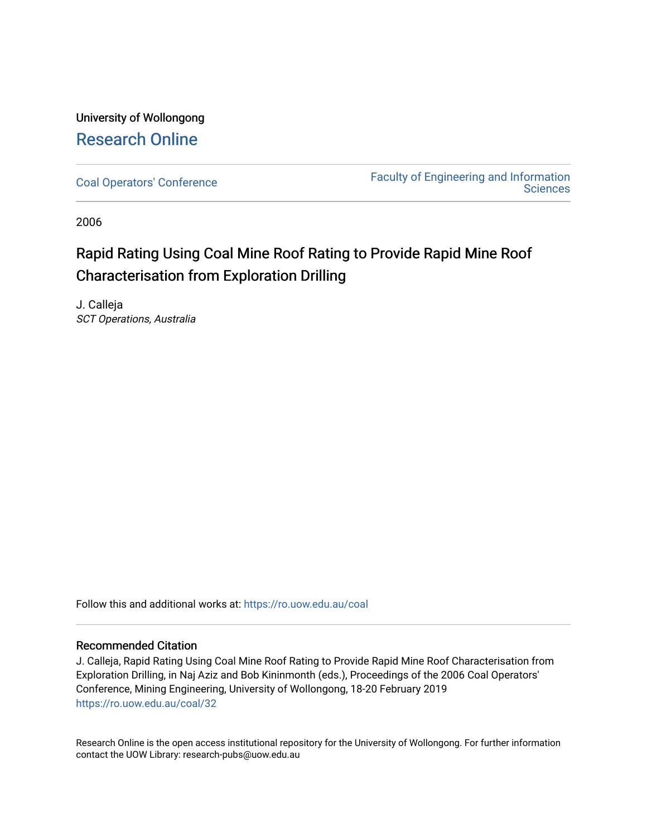University of Wollongong [Research Online](https://ro.uow.edu.au/) 

[Coal Operators' Conference](https://ro.uow.edu.au/coal) [Faculty of Engineering and Information](https://ro.uow.edu.au/eis)  **Sciences** 

2006

# Rapid Rating Using Coal Mine Roof Rating to Provide Rapid Mine Roof Characterisation from Exploration Drilling

J. Calleja SCT Operations, Australia

Follow this and additional works at: [https://ro.uow.edu.au/coal](https://ro.uow.edu.au/coal?utm_source=ro.uow.edu.au%2Fcoal%2F32&utm_medium=PDF&utm_campaign=PDFCoverPages) 

# Recommended Citation

J. Calleja, Rapid Rating Using Coal Mine Roof Rating to Provide Rapid Mine Roof Characterisation from Exploration Drilling, in Naj Aziz and Bob Kininmonth (eds.), Proceedings of the 2006 Coal Operators' Conference, Mining Engineering, University of Wollongong, 18-20 February 2019 [https://ro.uow.edu.au/coal/32](https://ro.uow.edu.au/coal/32?utm_source=ro.uow.edu.au%2Fcoal%2F32&utm_medium=PDF&utm_campaign=PDFCoverPages) 

Research Online is the open access institutional repository for the University of Wollongong. For further information contact the UOW Library: research-pubs@uow.edu.au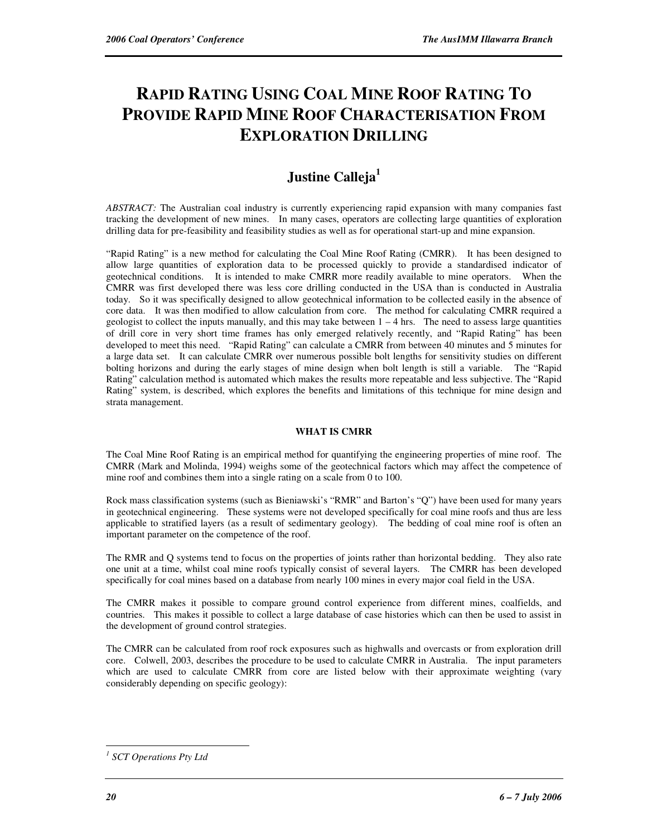# **RAPID RATING USING COAL MINE ROOF RATING TO PROVIDE RAPID MINE ROOF CHARACTERISATION FROM EXPLORATION DRILLING**

# **Justine Calleja<sup>1</sup>**

*ABSTRACT:* The Australian coal industry is currently experiencing rapid expansion with many companies fast tracking the development of new mines. In many cases, operators are collecting large quantities of exploration drilling data for pre-feasibility and feasibility studies as well as for operational start-up and mine expansion.

"Rapid Rating" is a new method for calculating the Coal Mine Roof Rating (CMRR). It has been designed to allow large quantities of exploration data to be processed quickly to provide a standardised indicator of geotechnical conditions. It is intended to make CMRR more readily available to mine operators. When the CMRR was first developed there was less core drilling conducted in the USA than is conducted in Australia today. So it was specifically designed to allow geotechnical information to be collected easily in the absence of core data. It was then modified to allow calculation from core. The method for calculating CMRR required a geologist to collect the inputs manually, and this may take between  $1 - 4$  hrs. The need to assess large quantities of drill core in very short time frames has only emerged relatively recently, and "Rapid Rating" has been developed to meet this need. "Rapid Rating" can calculate a CMRR from between 40 minutes and 5 minutes for a large data set. It can calculate CMRR over numerous possible bolt lengths for sensitivity studies on different bolting horizons and during the early stages of mine design when bolt length is still a variable. The "Rapid Rating" calculation method is automated which makes the results more repeatable and less subjective. The "Rapid Rating" system, is described, which explores the benefits and limitations of this technique for mine design and strata management.

## **WHAT IS CMRR**

The Coal Mine Roof Rating is an empirical method for quantifying the engineering properties of mine roof. The CMRR (Mark and Molinda, 1994) weighs some of the geotechnical factors which may affect the competence of mine roof and combines them into a single rating on a scale from 0 to 100.

Rock mass classification systems (such as Bieniawski's "RMR" and Barton's "Q") have been used for many years in geotechnical engineering. These systems were not developed specifically for coal mine roofs and thus are less applicable to stratified layers (as a result of sedimentary geology). The bedding of coal mine roof is often an important parameter on the competence of the roof.

The RMR and Q systems tend to focus on the properties of joints rather than horizontal bedding. They also rate one unit at a time, whilst coal mine roofs typically consist of several layers. The CMRR has been developed specifically for coal mines based on a database from nearly 100 mines in every major coal field in the USA.

The CMRR makes it possible to compare ground control experience from different mines, coalfields, and countries. This makes it possible to collect a large database of case histories which can then be used to assist in the development of ground control strategies.

The CMRR can be calculated from roof rock exposures such as highwalls and overcasts or from exploration drill core. Colwell, 2003, describes the procedure to be used to calculate CMRR in Australia. The input parameters which are used to calculate CMRR from core are listed below with their approximate weighting (vary considerably depending on specific geology):

 $\overline{a}$ 

*<sup>1</sup> SCT Operations Pty Ltd*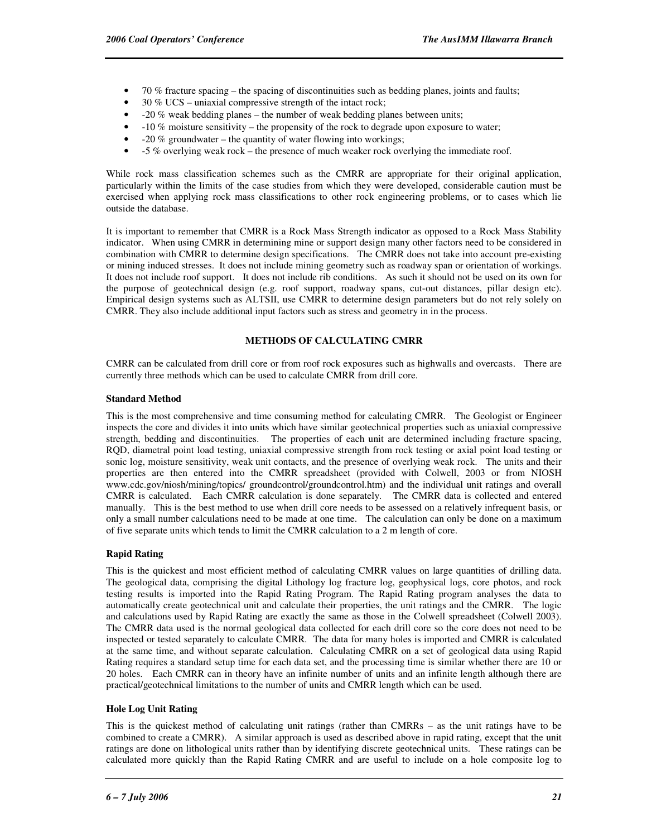- 70 % fracture spacing the spacing of discontinuities such as bedding planes, joints and faults;
- 30 % UCS uniaxial compressive strength of the intact rock;
- -20 % weak bedding planes the number of weak bedding planes between units;
- -10 % moisture sensitivity the propensity of the rock to degrade upon exposure to water;
- -20 % groundwater the quantity of water flowing into workings;
- -5 % overlying weak rock the presence of much weaker rock overlying the immediate roof.

While rock mass classification schemes such as the CMRR are appropriate for their original application, particularly within the limits of the case studies from which they were developed, considerable caution must be exercised when applying rock mass classifications to other rock engineering problems, or to cases which lie outside the database.

It is important to remember that CMRR is a Rock Mass Strength indicator as opposed to a Rock Mass Stability indicator. When using CMRR in determining mine or support design many other factors need to be considered in combination with CMRR to determine design specifications. The CMRR does not take into account pre-existing or mining induced stresses. It does not include mining geometry such as roadway span or orientation of workings. It does not include roof support. It does not include rib conditions. As such it should not be used on its own for the purpose of geotechnical design (e.g. roof support, roadway spans, cut-out distances, pillar design etc). Empirical design systems such as ALTSII, use CMRR to determine design parameters but do not rely solely on CMRR. They also include additional input factors such as stress and geometry in in the process.

# **METHODS OF CALCULATING CMRR**

CMRR can be calculated from drill core or from roof rock exposures such as highwalls and overcasts. There are currently three methods which can be used to calculate CMRR from drill core.

#### **Standard Method**

This is the most comprehensive and time consuming method for calculating CMRR. The Geologist or Engineer inspects the core and divides it into units which have similar geotechnical properties such as uniaxial compressive strength, bedding and discontinuities. The properties of each unit are determined including fracture spacing, RQD, diametral point load testing, uniaxial compressive strength from rock testing or axial point load testing or sonic log, moisture sensitivity, weak unit contacts, and the presence of overlying weak rock. The units and their properties are then entered into the CMRR spreadsheet (provided with Colwell, 2003 or from NIOSH www.cdc.gov/niosh/mining/topics/ groundcontrol/groundcontrol.htm) and the individual unit ratings and overall CMRR is calculated. Each CMRR calculation is done separately. The CMRR data is collected and entered manually. This is the best method to use when drill core needs to be assessed on a relatively infrequent basis, or only a small number calculations need to be made at one time. The calculation can only be done on a maximum of five separate units which tends to limit the CMRR calculation to a 2 m length of core.

## **Rapid Rating**

This is the quickest and most efficient method of calculating CMRR values on large quantities of drilling data. The geological data, comprising the digital Lithology log fracture log, geophysical logs, core photos, and rock testing results is imported into the Rapid Rating Program. The Rapid Rating program analyses the data to automatically create geotechnical unit and calculate their properties, the unit ratings and the CMRR. The logic and calculations used by Rapid Rating are exactly the same as those in the Colwell spreadsheet (Colwell 2003). The CMRR data used is the normal geological data collected for each drill core so the core does not need to be inspected or tested separately to calculate CMRR. The data for many holes is imported and CMRR is calculated at the same time, and without separate calculation. Calculating CMRR on a set of geological data using Rapid Rating requires a standard setup time for each data set, and the processing time is similar whether there are 10 or 20 holes. Each CMRR can in theory have an infinite number of units and an infinite length although there are practical/geotechnical limitations to the number of units and CMRR length which can be used.

#### **Hole Log Unit Rating**

This is the quickest method of calculating unit ratings (rather than CMRRs – as the unit ratings have to be combined to create a CMRR). A similar approach is used as described above in rapid rating, except that the unit ratings are done on lithological units rather than by identifying discrete geotechnical units. These ratings can be calculated more quickly than the Rapid Rating CMRR and are useful to include on a hole composite log to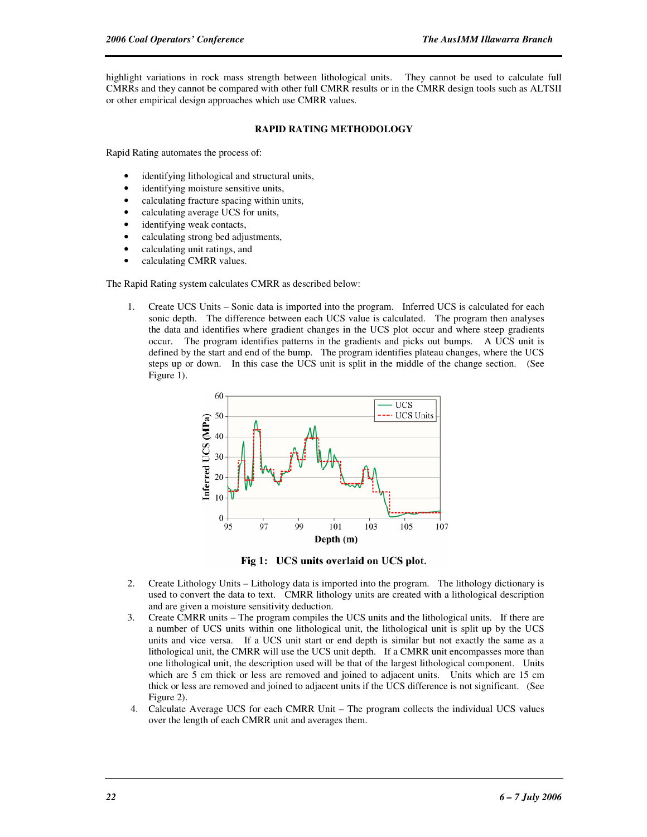highlight variations in rock mass strength between lithological units. They cannot be used to calculate full CMRRs and they cannot be compared with other full CMRR results or in the CMRR design tools such as ALTSII or other empirical design approaches which use CMRR values.

#### **RAPID RATING METHODOLOGY**

Rapid Rating automates the process of:

- identifying lithological and structural units,
- identifying moisture sensitive units,
- calculating fracture spacing within units,
- calculating average UCS for units,
- identifying weak contacts,
- calculating strong bed adjustments,
- calculating unit ratings, and
- calculating CMRR values.

The Rapid Rating system calculates CMRR as described below:

1. Create UCS Units – Sonic data is imported into the program. Inferred UCS is calculated for each sonic depth. The difference between each UCS value is calculated. The program then analyses the data and identifies where gradient changes in the UCS plot occur and where steep gradients occur. The program identifies patterns in the gradients and picks out bumps. A UCS unit is defined by the start and end of the bump. The program identifies plateau changes, where the UCS steps up or down. In this case the UCS unit is split in the middle of the change section. (See Figure 1).



Fig 1: UCS units overlaid on UCS plot.

- 2. Create Lithology Units Lithology data is imported into the program. The lithology dictionary is used to convert the data to text. CMRR lithology units are created with a lithological description and are given a moisture sensitivity deduction.
- 3. Create CMRR units The program compiles the UCS units and the lithological units. If there are a number of UCS units within one lithological unit, the lithological unit is split up by the UCS units and vice versa. If a UCS unit start or end depth is similar but not exactly the same as a lithological unit, the CMRR will use the UCS unit depth. If a CMRR unit encompasses more than one lithological unit, the description used will be that of the largest lithological component. Units which are 5 cm thick or less are removed and joined to adjacent units. Units which are 15 cm thick or less are removed and joined to adjacent units if the UCS difference is not significant. (See Figure 2).
- 4. Calculate Average UCS for each CMRR Unit The program collects the individual UCS values over the length of each CMRR unit and averages them.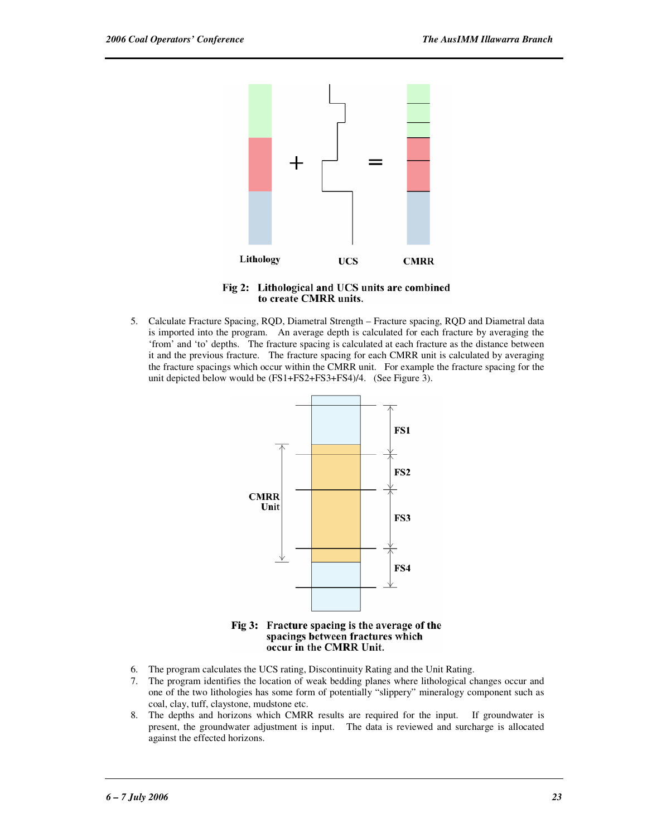

Fig 2: Lithological and UCS units are combined to create CMRR units.

5. Calculate Fracture Spacing, RQD, Diametral Strength – Fracture spacing, RQD and Diametral data is imported into the program. An average depth is calculated for each fracture by averaging the 'from' and 'to' depths. The fracture spacing is calculated at each fracture as the distance between it and the previous fracture. The fracture spacing for each CMRR unit is calculated by averaging the fracture spacings which occur within the CMRR unit. For example the fracture spacing for the unit depicted below would be (FS1+FS2+FS3+FS4)/4. (See Figure 3).



Fig 3: Fracture spacing is the average of the spacings between fractures which occur in the CMRR Unit.

- 6. The program calculates the UCS rating, Discontinuity Rating and the Unit Rating.
- 7. The program identifies the location of weak bedding planes where lithological changes occur and one of the two lithologies has some form of potentially "slippery" mineralogy component such as coal, clay, tuff, claystone, mudstone etc.
- 8. The depths and horizons which CMRR results are required for the input. If groundwater is present, the groundwater adjustment is input. The data is reviewed and surcharge is allocated against the effected horizons.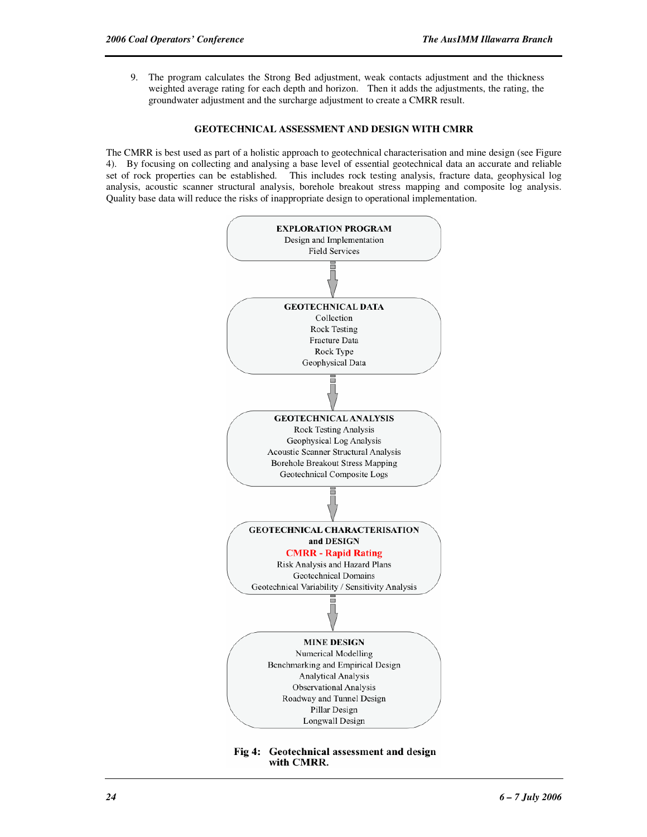9. The program calculates the Strong Bed adjustment, weak contacts adjustment and the thickness weighted average rating for each depth and horizon. Then it adds the adjustments, the rating, the groundwater adjustment and the surcharge adjustment to create a CMRR result.

#### **GEOTECHNICAL ASSESSMENT AND DESIGN WITH CMRR**

The CMRR is best used as part of a holistic approach to geotechnical characterisation and mine design (see Figure 4). By focusing on collecting and analysing a base level of essential geotechnical data an accurate and reliable set of rock properties can be established. This includes rock testing analysis, fracture data, geophysical log analysis, acoustic scanner structural analysis, borehole breakout stress mapping and composite log analysis. Quality base data will reduce the risks of inappropriate design to operational implementation.



Fig 4: Geotechnical assessment and design with CMRR.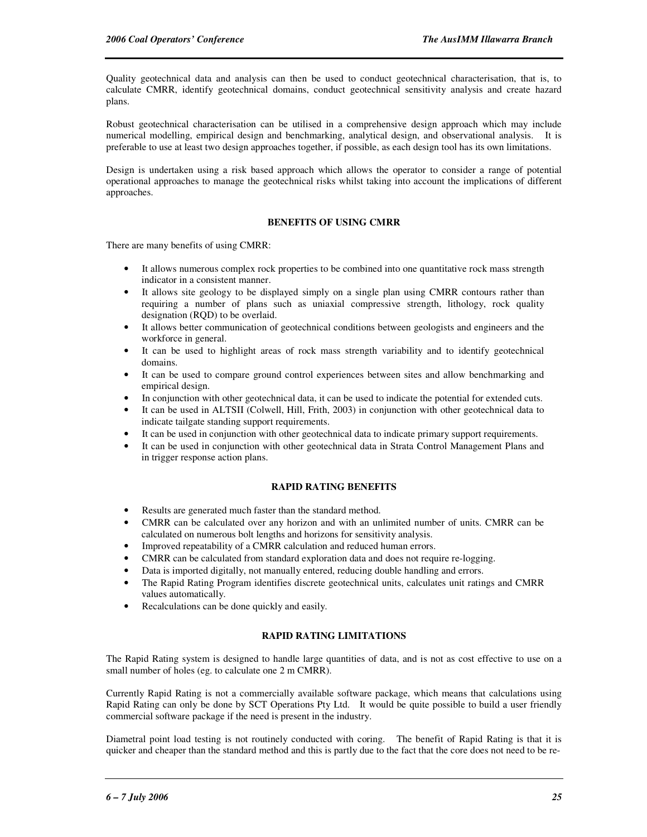Quality geotechnical data and analysis can then be used to conduct geotechnical characterisation, that is, to calculate CMRR, identify geotechnical domains, conduct geotechnical sensitivity analysis and create hazard plans.

Robust geotechnical characterisation can be utilised in a comprehensive design approach which may include numerical modelling, empirical design and benchmarking, analytical design, and observational analysis. It is preferable to use at least two design approaches together, if possible, as each design tool has its own limitations.

Design is undertaken using a risk based approach which allows the operator to consider a range of potential operational approaches to manage the geotechnical risks whilst taking into account the implications of different approaches.

#### **BENEFITS OF USING CMRR**

There are many benefits of using CMRR:

- It allows numerous complex rock properties to be combined into one quantitative rock mass strength indicator in a consistent manner.
- It allows site geology to be displayed simply on a single plan using CMRR contours rather than requiring a number of plans such as uniaxial compressive strength, lithology, rock quality designation (RQD) to be overlaid.
- It allows better communication of geotechnical conditions between geologists and engineers and the workforce in general.
- It can be used to highlight areas of rock mass strength variability and to identify geotechnical domains.
- It can be used to compare ground control experiences between sites and allow benchmarking and empirical design.
- In conjunction with other geotechnical data, it can be used to indicate the potential for extended cuts.
- It can be used in ALTSII (Colwell, Hill, Frith, 2003) in conjunction with other geotechnical data to indicate tailgate standing support requirements.
- It can be used in conjunction with other geotechnical data to indicate primary support requirements.
- It can be used in conjunction with other geotechnical data in Strata Control Management Plans and in trigger response action plans.

#### **RAPID RATING BENEFITS**

- Results are generated much faster than the standard method.
- CMRR can be calculated over any horizon and with an unlimited number of units. CMRR can be calculated on numerous bolt lengths and horizons for sensitivity analysis.
- Improved repeatability of a CMRR calculation and reduced human errors.
- CMRR can be calculated from standard exploration data and does not require re-logging.
- Data is imported digitally, not manually entered, reducing double handling and errors.
- The Rapid Rating Program identifies discrete geotechnical units, calculates unit ratings and CMRR values automatically.
- Recalculations can be done quickly and easily.

#### **RAPID RATING LIMITATIONS**

The Rapid Rating system is designed to handle large quantities of data, and is not as cost effective to use on a small number of holes (eg. to calculate one 2 m CMRR).

Currently Rapid Rating is not a commercially available software package, which means that calculations using Rapid Rating can only be done by SCT Operations Pty Ltd. It would be quite possible to build a user friendly commercial software package if the need is present in the industry.

Diametral point load testing is not routinely conducted with coring. The benefit of Rapid Rating is that it is quicker and cheaper than the standard method and this is partly due to the fact that the core does not need to be re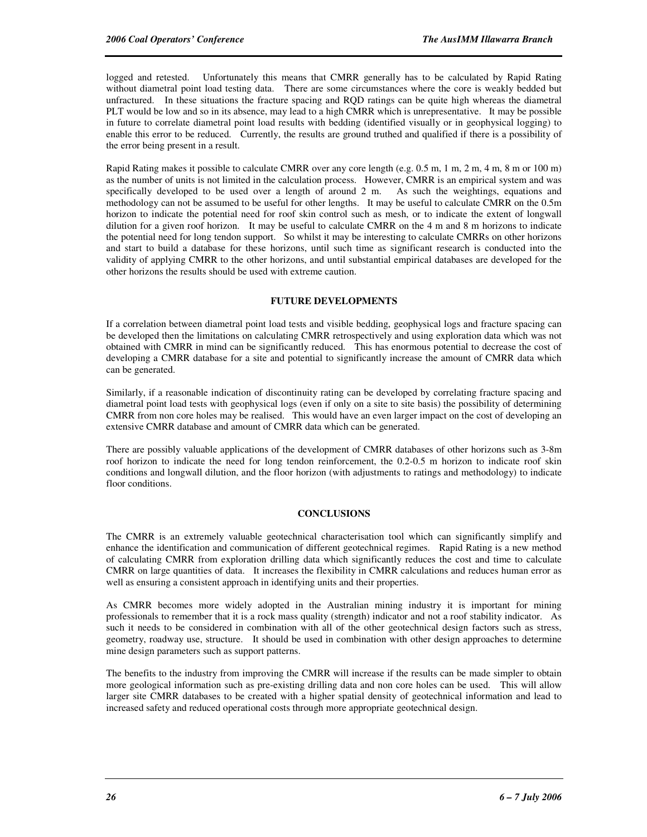logged and retested. Unfortunately this means that CMRR generally has to be calculated by Rapid Rating without diametral point load testing data. There are some circumstances where the core is weakly bedded but unfractured. In these situations the fracture spacing and RQD ratings can be quite high whereas the diametral PLT would be low and so in its absence, may lead to a high CMRR which is unrepresentative. It may be possible in future to correlate diametral point load results with bedding (identified visually or in geophysical logging) to enable this error to be reduced. Currently, the results are ground truthed and qualified if there is a possibility of the error being present in a result.

Rapid Rating makes it possible to calculate CMRR over any core length (e.g. 0.5 m, 1 m, 2 m, 4 m, 8 m or 100 m) as the number of units is not limited in the calculation process. However, CMRR is an empirical system and was specifically developed to be used over a length of around 2 m. As such the weightings, equations and methodology can not be assumed to be useful for other lengths. It may be useful to calculate CMRR on the 0.5m horizon to indicate the potential need for roof skin control such as mesh, or to indicate the extent of longwall dilution for a given roof horizon. It may be useful to calculate CMRR on the 4 m and 8 m horizons to indicate the potential need for long tendon support. So whilst it may be interesting to calculate CMRRs on other horizons and start to build a database for these horizons, until such time as significant research is conducted into the validity of applying CMRR to the other horizons, and until substantial empirical databases are developed for the other horizons the results should be used with extreme caution.

#### **FUTURE DEVELOPMENTS**

If a correlation between diametral point load tests and visible bedding, geophysical logs and fracture spacing can be developed then the limitations on calculating CMRR retrospectively and using exploration data which was not obtained with CMRR in mind can be significantly reduced. This has enormous potential to decrease the cost of developing a CMRR database for a site and potential to significantly increase the amount of CMRR data which can be generated.

Similarly, if a reasonable indication of discontinuity rating can be developed by correlating fracture spacing and diametral point load tests with geophysical logs (even if only on a site to site basis) the possibility of determining CMRR from non core holes may be realised. This would have an even larger impact on the cost of developing an extensive CMRR database and amount of CMRR data which can be generated.

There are possibly valuable applications of the development of CMRR databases of other horizons such as 3-8m roof horizon to indicate the need for long tendon reinforcement, the 0.2-0.5 m horizon to indicate roof skin conditions and longwall dilution, and the floor horizon (with adjustments to ratings and methodology) to indicate floor conditions.

## **CONCLUSIONS**

The CMRR is an extremely valuable geotechnical characterisation tool which can significantly simplify and enhance the identification and communication of different geotechnical regimes. Rapid Rating is a new method of calculating CMRR from exploration drilling data which significantly reduces the cost and time to calculate CMRR on large quantities of data. It increases the flexibility in CMRR calculations and reduces human error as well as ensuring a consistent approach in identifying units and their properties.

As CMRR becomes more widely adopted in the Australian mining industry it is important for mining professionals to remember that it is a rock mass quality (strength) indicator and not a roof stability indicator. As such it needs to be considered in combination with all of the other geotechnical design factors such as stress, geometry, roadway use, structure. It should be used in combination with other design approaches to determine mine design parameters such as support patterns.

The benefits to the industry from improving the CMRR will increase if the results can be made simpler to obtain more geological information such as pre-existing drilling data and non core holes can be used. This will allow larger site CMRR databases to be created with a higher spatial density of geotechnical information and lead to increased safety and reduced operational costs through more appropriate geotechnical design.